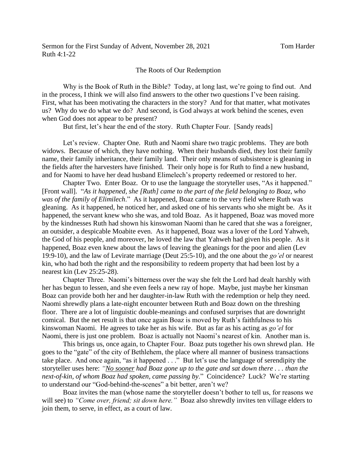## The Roots of Our Redemption

Why is the Book of Ruth in the Bible? Today, at long last, we're going to find out. And in the process, I think we will also find answers to the other two questions I've been raising. First, what has been motivating the characters in the story? And for that matter, what motivates us? Why do we do what we do? And second, is God always at work behind the scenes, even when God does not appear to be present?

But first, let's hear the end of the story. Ruth Chapter Four. [Sandy reads]

Let's review. Chapter One. Ruth and Naomi share two tragic problems. They are both widows. Because of which, they have nothing. When their husbands died, they lost their family name, their family inheritance, their family land. Their only means of subsistence is gleaning in the fields after the harvesters have finished. Their only hope is for Ruth to find a new husband, and for Naomi to have her dead husband Elimelech's property redeemed or restored to her.

Chapter Two. Enter Boaz. Or to use the language the storyteller uses, "As it happened." [Front wall]. "*As it happened, she [Ruth] came to the part of the field belonging to Boaz, who was of the family of Elimilech*." As it happened, Boaz came to the very field where Ruth was gleaning. As it happened, he noticed her, and asked one of his servants who she might be. As it happened, the servant knew who she was, and told Boaz. As it happened, Boaz was moved more by the kindnesses Ruth had shown his kinswoman Naomi than he cared that she was a foreigner, an outsider, a despicable Moabite even. As it happened, Boaz was a lover of the Lord Yahweh, the God of his people, and moreover, he loved the law that Yahweh had given his people. As it happened, Boaz even knew about the laws of leaving the gleanings for the poor and alien (Lev 19:9-10), and the law of Levirate marriage (Deut 25:5-10), and the one about the *go'el* or nearest kin, who had both the right and the responsibility to redeem property that had been lost by a nearest kin (Lev 25:25-28).

Chapter Three. Naomi's bitterness over the way she felt the Lord had dealt harshly with her has begun to lessen, and she even feels a new ray of hope. Maybe, just maybe her kinsman Boaz can provide both her and her daughter-in-law Ruth with the redemption or help they need. Naomi shrewdly plans a late-night encounter between Ruth and Boaz down on the threshing floor. There are a lot of linguistic double-meanings and confused surprises that are downright comical. But the net result is that once again Boaz is moved by Ruth's faithfulness to his kinswoman Naomi. He agrees to take her as his wife. But as far as his acting as *go'el* for Naomi, there is just one problem. Boaz is actually not Naomi's nearest of kin. Another man is.

This brings us, once again, to Chapter Four. Boaz puts together his own shrewd plan. He goes to the "gate" of the city of Bethlehem, the place where all manner of business transactions take place. And once again, "as it happened . . ." But let's use the language of serendipity the storyteller uses here: *"No sooner had Boaz gone up to the gate and sat down there . . . than the next-of-kin, of whom Boaz had spoken, came passing by*." Coincidence? Luck? We're starting to understand our "God-behind-the-scenes" a bit better, aren't we?

Boaz invites the man (whose name the storyteller doesn't bother to tell us, for reasons we will see) to *"Come over, friend; sit down here."* Boaz also shrewdly invites ten village elders to join them, to serve, in effect, as a court of law.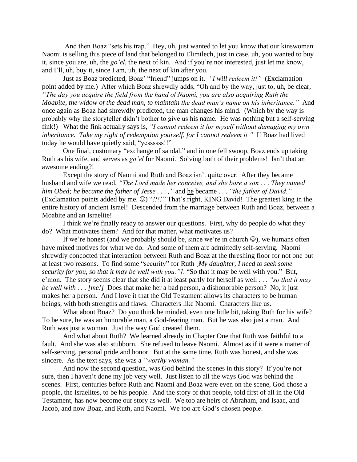And then Boaz "sets his trap." Hey, uh, just wanted to let you know that our kinswoman Naomi is selling this piece of land that belonged to Elimilech, just in case, uh, you wanted to buy it, since you are, uh, the *go'el*, the next of kin. And if you're not interested, just let me know, and I'll, uh, buy it, since I am, uh, the next of kin after you.

Just as Boaz predicted, Boaz' "friend" jumps on it. *"I will redeem it!"* (Exclamation point added by me.) After which Boaz shrewdly adds, "Oh and by the way, just to, uh, be clear, *"The day you acquire the field from the hand of Naomi, you are also acquiring Ruth the* 

*Moabite, the widow of the dead man, to maintain the dead man's name on his inheritance."* And once again as Boaz had shrewdly predicted, the man changes his mind. (Which by the way is probably why the storyteller didn't bother to give us his name. He was nothing but a self-serving fink!) What the fink actually says is, *"I cannot redeem it for myself without damaging my own inheritance. Take my right of redemption yourself, for I cannot redeem it."* If Boaz had lived today he would have quietly said, "yessssss!!"

One final, customary "exchange of sandal," and in one fell swoop, Boaz ends up taking Ruth as his wife, and serves as *go'el* for Naomi. Solving both of their problems! Isn't that an awesome ending?!

Except the story of Naomi and Ruth and Boaz isn't quite over. After they became husband and wife we read, *"The Lord made her conceive, and she bore a son . . . They named him Obed; he became the father of Jesse . . . ,"* and he became . . . *"the father of David."* (Exclamation points added by me. ☺) "*!!!!"* That's right, KING David! The greatest king in the entire history of ancient Israel! Descended from the marriage between Ruth and Boaz, between a Moabite and an Israelite!

I think we're finally ready to answer our questions. First, why do people do what they do? What motivates them? And for that matter, what motivates us?

If we're honest (and we probably should be, since we're in church  $\mathcal{O}$ ), we humans often have mixed motives for what we do. And some of them are admittedly self-serving. Naomi shrewdly concocted that interaction between Ruth and Boaz at the threshing floor for not one but at least two reasons. To find some "security" for Ruth [*My daughter, I need to seek some security for you, so that it may be well with you."]*. "So that it may be well with you." But, c'mon. The story seems clear that she did it at least partly for herself as well . . . *"so that it may be well with . . . [me!]* Does that make her a bad person, a dishonorable person? No, it just makes her a person. And I love it that the Old Testament allows its characters to be human beings, with both strengths and flaws. Characters like Naomi. Characters like us.

What about Boaz? Do you think he minded, even one little bit, taking Ruth for his wife? To be sure, he was an honorable man, a God-fearing man. But he was also just a man. And Ruth was just a woman. Just the way God created them.

And what about Ruth? We learned already in Chapter One that Ruth was faithful to a fault. And she was also stubborn. She refused to leave Naomi. Almost as if it were a matter of self-serving, personal pride and honor. But at the same time, Ruth was honest, and she was sincere. As the text says, she was a *"worthy woman."*

And now the second question, was God behind the scenes in this story? If you're not sure, then I haven't done my job very well. Just listen to all the ways God was behind the scenes. First, centuries before Ruth and Naomi and Boaz were even on the scene, God chose a people, the Israelites, to be his people. And the story of that people, told first of all in the Old Testament, has now become our story as well. We too are heirs of Abraham, and Isaac, and Jacob, and now Boaz, and Ruth, and Naomi. We too are God's chosen people.